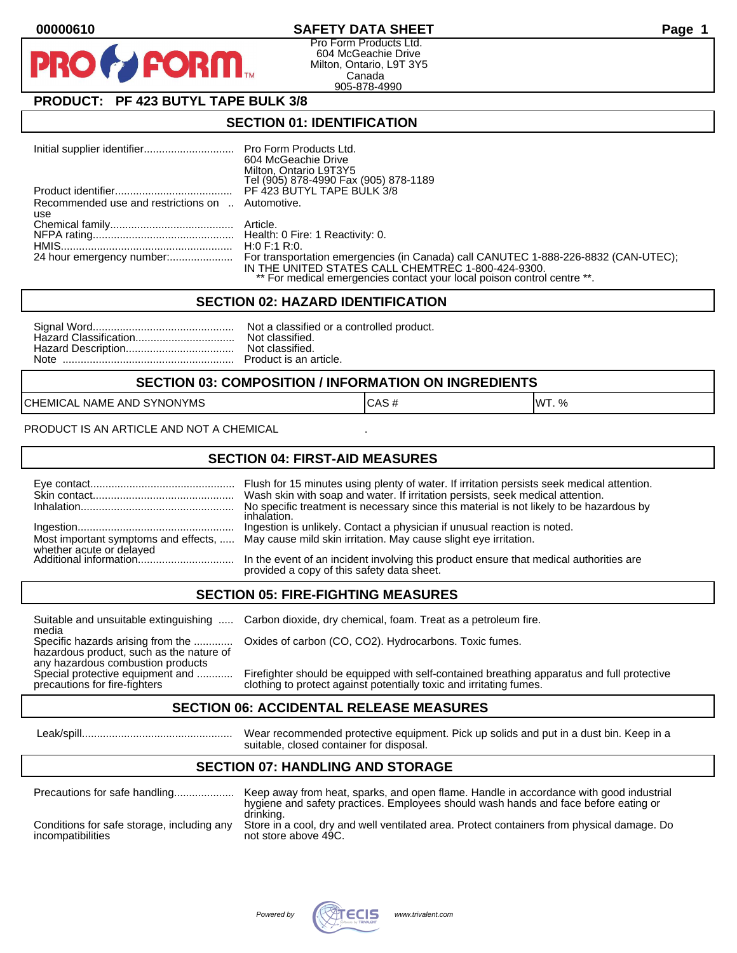## **00000610 SAFETY DATA SHEET Page 1**

Pro Form Products Ltd. 604 McGeachie Drive Milton, Ontario, L9T 3Y5 Canada 905-878-4990

# **PRODUCT: PF 423 BUTYL TAPE BULK 3/8**

**FORM** 

### **SECTION 01: IDENTIFICATION**

|                                                  | 604 McGeachie Drive<br>Milton, Ontario L9T3Y5<br>Tel (905) 878-4990 Fax (905) 878-1189                                        |
|--------------------------------------------------|-------------------------------------------------------------------------------------------------------------------------------|
|                                                  | PF 423 BUTYL TAPE BULK 3/8                                                                                                    |
| Recommended use and restrictions on  Automotive. |                                                                                                                               |
| use                                              |                                                                                                                               |
|                                                  |                                                                                                                               |
|                                                  |                                                                                                                               |
|                                                  | IN THE UNITED STATES CALL CHEMTREC 1-800-424-9300.<br>** For medical emergencies contact your local poison control centre **. |

#### **SECTION 02: HAZARD IDENTIFICATION**

#### **SECTION 03: COMPOSITION / INFORMATION ON INGREDIENTS**

CHEMICAL NAME AND SYNONYMS CASE CAS # CAS # WT. %

PRODUCT IS AN ARTICLE AND NOT A CHEMICAL

### **SECTION 04: FIRST-AID MEASURES**

|                                                    | Flush for 15 minutes using plenty of water. If irritation persists seek medical attention.<br>Wash skin with soap and water. If irritation persists, seek medical attention.<br>No specific treatment is necessary since this material is not likely to be hazardous by<br>inhalation. |
|----------------------------------------------------|----------------------------------------------------------------------------------------------------------------------------------------------------------------------------------------------------------------------------------------------------------------------------------------|
|                                                    | Ingestion is unlikely. Contact a physician if unusual reaction is noted.<br>Most important symptoms and effects,  May cause mild skin irritation. May cause slight eye irritation.                                                                                                     |
| whether acute or delayed<br>Additional information | In the event of an incident involving this product ensure that medical authorities are<br>provided a copy of this safety data sheet.                                                                                                                                                   |

### **SECTION 05: FIRE-FIGHTING MEASURES**

media<br>Specific hazards arising from the .............

hazardous product, such as the nature of any hazardous combustion products<br>Special protective equipment and ............

Suitable and unsuitable extinguishing ..... Carbon dioxide, dry chemical, foam. Treat as a petroleum fire.

Oxides of carbon (CO, CO2). Hydrocarbons. Toxic fumes.

Special protective equipment and ............ Firefighter should be equipped with self-contained breathing apparatus and full protective<br>precautions for fire-fighters on the clothing to protect against potentially toxic an clothing to protect against potentially toxic and irritating fumes.

### **SECTION 06: ACCIDENTAL RELEASE MEASURES**

 Leak/spill.................................................. Wear recommended protective equipment. Pick up solids and put in a dust bin. Keep in a suitable, closed container for disposal.

## **SECTION 07: HANDLING AND STORAGE**

| Precautions for safe handling                                   | Keep away from heat, sparks, and open flame. Handle in accordance with good industrial<br>hygiene and safety practices. Employees should wash hands and face before eating or |
|-----------------------------------------------------------------|-------------------------------------------------------------------------------------------------------------------------------------------------------------------------------|
| Conditions for safe storage, including any<br>incompatibilities | drinking.<br>Store in a cool, dry and well ventilated area. Protect containers from physical damage. Do<br>not store above 49C.                                               |

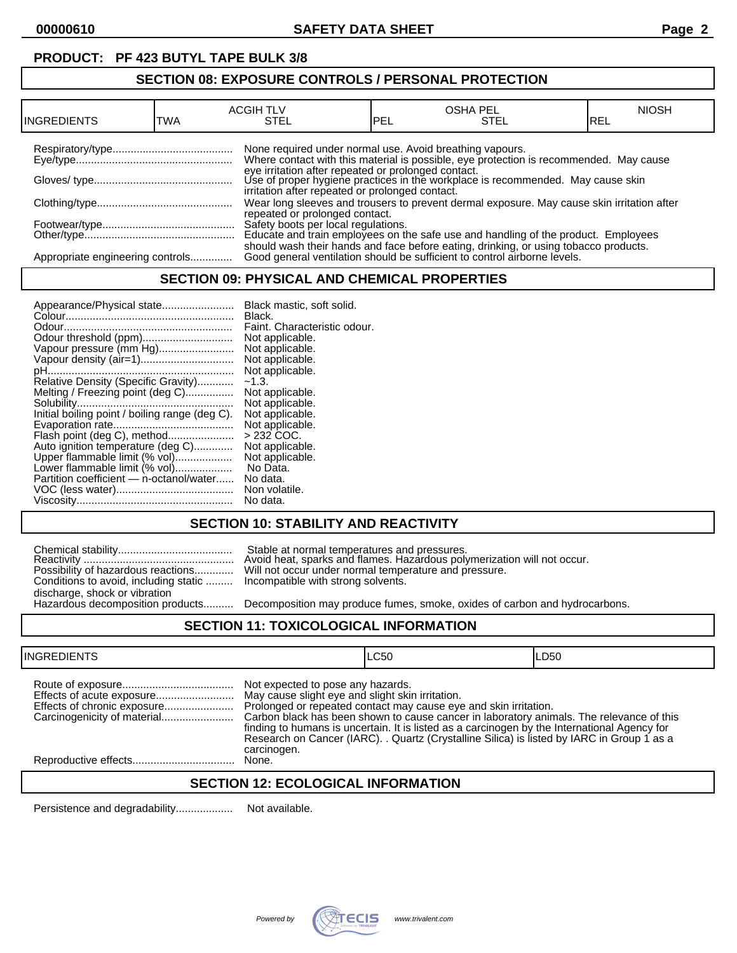# **PRODUCT: PF 423 BUTYL TAPE BULK 3/8**

## **SECTION 08: EXPOSURE CONTROLS / PERSONAL PROTECTION**

|                                  |     | <b>ACGIH TLV</b>                                         |     | <b>OSHA PEL</b>                                                                                                                        | <b>NIOSH</b> |
|----------------------------------|-----|----------------------------------------------------------|-----|----------------------------------------------------------------------------------------------------------------------------------------|--------------|
| IINGREDIENTS                     | TWA | STEL                                                     | PEL | STEL                                                                                                                                   | IREL         |
|                                  |     |                                                          |     |                                                                                                                                        |              |
|                                  |     | None required under normal use. Avoid breathing vapours. |     | Where contact with this material is possible, eye protection is recommended. May cause                                                 |              |
|                                  |     |                                                          |     | eye irritation after repeated or prolonged contact.<br>Use of proper hygiene practices in the workplace is recommended. May cause skin |              |
|                                  |     | irritation after repeated or prolonged contact.          |     |                                                                                                                                        |              |
|                                  |     |                                                          |     | Wear long sleeves and trousers to prevent dermal exposure. May cause skin irritation after                                             |              |
|                                  |     | repeated or prolonged contact.                           |     |                                                                                                                                        |              |
|                                  |     |                                                          |     | Safety boots per local regulations.<br>Educate and train employees on the safe use and handling of the product. Employees              |              |
|                                  |     |                                                          |     |                                                                                                                                        |              |
|                                  |     |                                                          |     | should wash their hands and face before eating, drinking, or using tobacco products.                                                   |              |
| Appropriate engineering controls |     |                                                          |     | Good general ventilation should be sufficient to control airborne levels.                                                              |              |

## **SECTION 09: PHYSICAL AND CHEMICAL PROPERTIES**

| Appearance/Physical state                      | Black mastic, soft solid.    |
|------------------------------------------------|------------------------------|
|                                                | Black.                       |
|                                                | Faint. Characteristic odour. |
|                                                | Not applicable.              |
| Vapour pressure (mm Hg)                        | Not applicable.              |
| Vapour density (air=1)                         | Not applicable.              |
|                                                | Not applicable.              |
| Relative Density (Specific Gravity)            | $-1.3.$                      |
| Melting / Freezing point (deg C)               | Not applicable.              |
|                                                | Not applicable.              |
| Initial boiling point / boiling range (deg C). | Not applicable.              |
|                                                | Not applicable.              |
| Flash point (deg C), method                    | $>232$ COC.                  |
| Auto ignition temperature (deg C)              | Not applicable.              |
| Upper flammable limit (% vol)                  | Not applicable.              |
| Lower flammable limit (% vol)                  | No Data.                     |
| Partition coefficient - n-octanol/water        | No data.                     |
|                                                | Non volatile.                |
|                                                | No data.                     |

# **SECTION 10: STABILITY AND REACTIVITY**

|                                       | Stable at normal temperatures and pressures.<br>Avoid heat, sparks and flames. Hazardous poly                           |
|---------------------------------------|-------------------------------------------------------------------------------------------------------------------------|
| Conditions to avoid, including static | Possibility of hazardous reactions Will not occur under normal temperature and pr<br>Incompatible with strong solvents. |
| discharge, shock or vibration         |                                                                                                                         |
| Hazardous decomposition products      | Decomposition may produce fumes, smoke, oxi                                                                             |

Reactivity .................................................. Avoid heat, sparks and flames. Hazardous polymerization will not occur. Possibility of hazardous reactions............. Will not occur under normal temperature and pressure. Incompatible with strong solvents.

Decomposition may produce fumes, smoke, oxides of carbon and hydrocarbons.

### **SECTION 11: TOXICOLOGICAL INFORMATION**

| <b>INGREDIENTS</b>          |                                                                                                      | LC50                                                                                                                                                                                                                                                                                                                                                       | LD50 |
|-----------------------------|------------------------------------------------------------------------------------------------------|------------------------------------------------------------------------------------------------------------------------------------------------------------------------------------------------------------------------------------------------------------------------------------------------------------------------------------------------------------|------|
| Effects of chronic exposure | Not expected to pose any hazards.<br>May cause slight eye and slight skin irritation.<br>carcinogen. | Prolonged or repeated contact may cause eye and skin irritation.<br>Carbon black has been shown to cause cancer in laboratory animals. The relevance of this<br>finding to humans is uncertain. It is listed as a carcinogen by the International Agency for<br>Research on Cancer (IARC). . Quartz (Crystalline Silica) is listed by IARC in Group 1 as a |      |
|                             | None.                                                                                                |                                                                                                                                                                                                                                                                                                                                                            |      |
|                             |                                                                                                      |                                                                                                                                                                                                                                                                                                                                                            |      |

## **SECTION 12: ECOLOGICAL INFORMATION**

Persistence and degradability................... Not available.